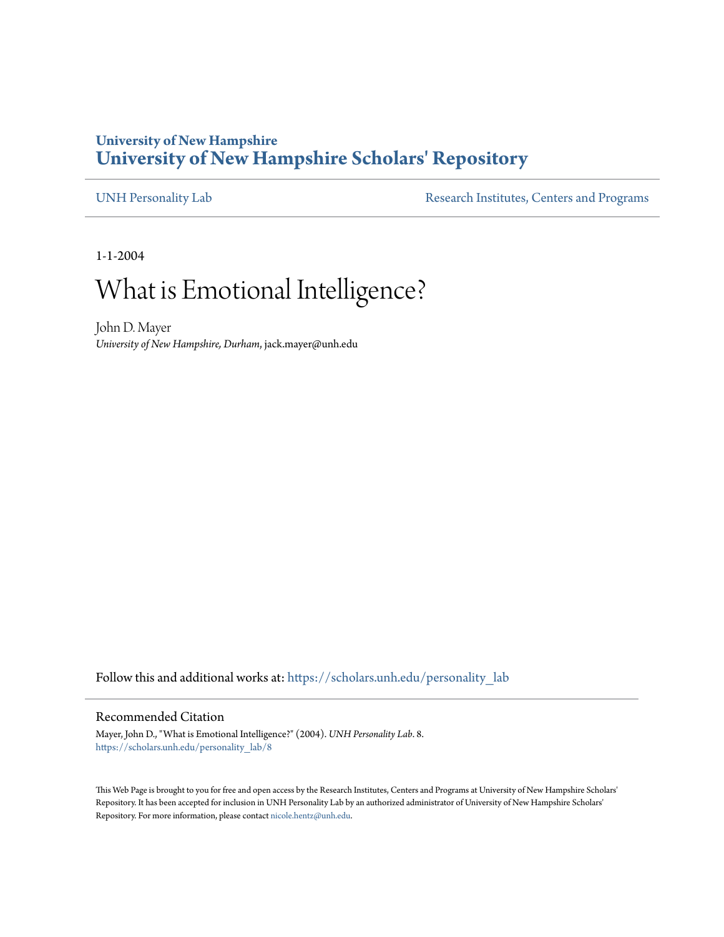### **University of New Hampshire [University of New Hampshire Scholars' Repository](https://scholars.unh.edu?utm_source=scholars.unh.edu%2Fpersonality_lab%2F8&utm_medium=PDF&utm_campaign=PDFCoverPages)**

[UNH Personality Lab](https://scholars.unh.edu/personality_lab?utm_source=scholars.unh.edu%2Fpersonality_lab%2F8&utm_medium=PDF&utm_campaign=PDFCoverPages) [Research Institutes, Centers and Programs](https://scholars.unh.edu/resinst?utm_source=scholars.unh.edu%2Fpersonality_lab%2F8&utm_medium=PDF&utm_campaign=PDFCoverPages)

1-1-2004

# What is Emotional Intelligence?

John D. Mayer *University of New Hampshire, Durham*, jack.mayer@unh.edu

Follow this and additional works at: https://scholars.unh.edu/personality\_lab

#### Recommended Citation

Mayer, John D., "What is Emotional Intelligence?" (2004). *UNH Personality Lab*. 8. https://scholars.unh.edu/personality\_lab/8

This Web Page is brought to you for free and open access by the Research Institutes, Centers and Programs at University of New Hampshire Scholars' Repository. It has been accepted for inclusion in UNH Personality Lab by an authorized administrator of University of New Hampshire Scholars' Repository. For more information, please contact [nicole.hentz@unh.edu.](mailto:nicole.hentz@unh.edu)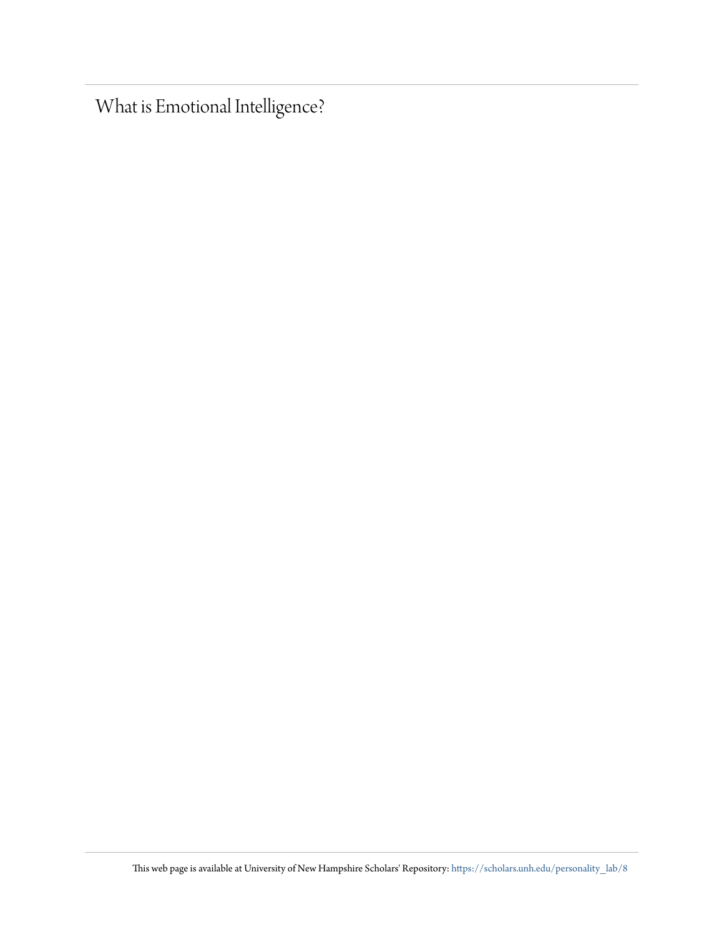What is Emotional Intelligence?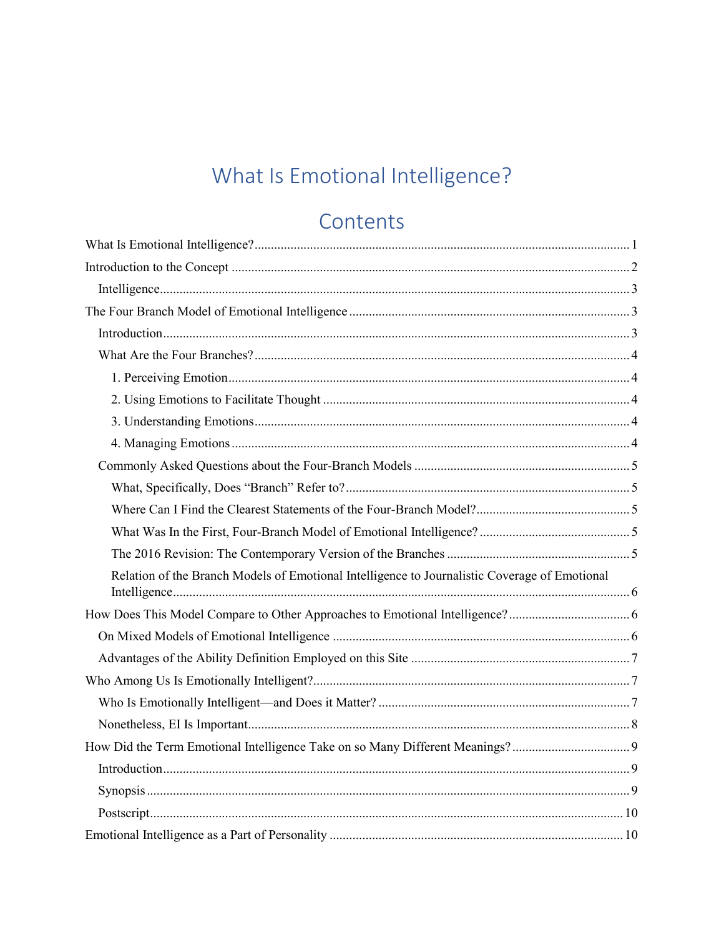# What Is Emotional Intelligence?

# Contents

<span id="page-2-0"></span>

| Relation of the Branch Models of Emotional Intelligence to Journalistic Coverage of Emotional |  |
|-----------------------------------------------------------------------------------------------|--|
|                                                                                               |  |
|                                                                                               |  |
|                                                                                               |  |
|                                                                                               |  |
|                                                                                               |  |
|                                                                                               |  |
|                                                                                               |  |
|                                                                                               |  |
|                                                                                               |  |
|                                                                                               |  |
|                                                                                               |  |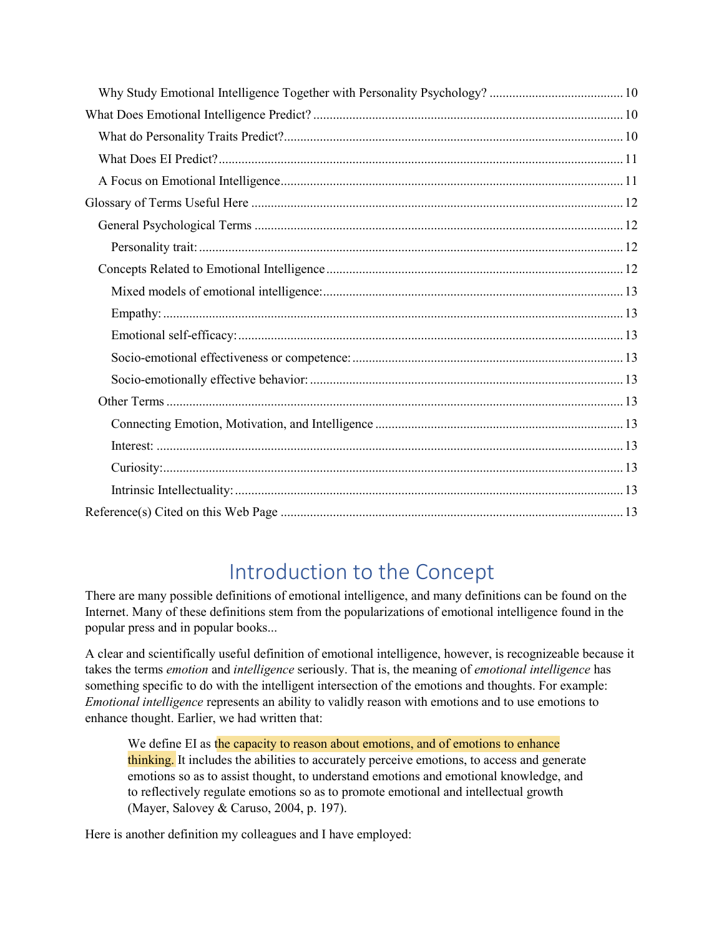## Introduction to the Concept

<span id="page-3-0"></span>There are many possible definitions of emotional intelligence, and many definitions can be found on the Internet. Many of these definitions stem from the popularizations of emotional intelligence found in the popular press and in popular books...

A clear and scientifically useful definition of emotional intelligence, however, is recognizeable because it takes the terms *emotion* and *intelligence* seriously. That is, the meaning of *emotional intelligence* has something specific to do with the intelligent intersection of the emotions and thoughts. For example: *Emotional intelligence* represents an ability to validly reason with emotions and to use emotions to enhance thought. Earlier, we had written that:

We define EI as the capacity to reason about emotions, and of emotions to enhance thinking. It includes the abilities to accurately perceive emotions, to access and generate emotions so as to assist thought, to understand emotions and emotional knowledge, and to reflectively regulate emotions so as to promote emotional and intellectual growth (Mayer, Salovey & Caruso, 2004, p. 197).

Here is another definition my colleagues and I have employed: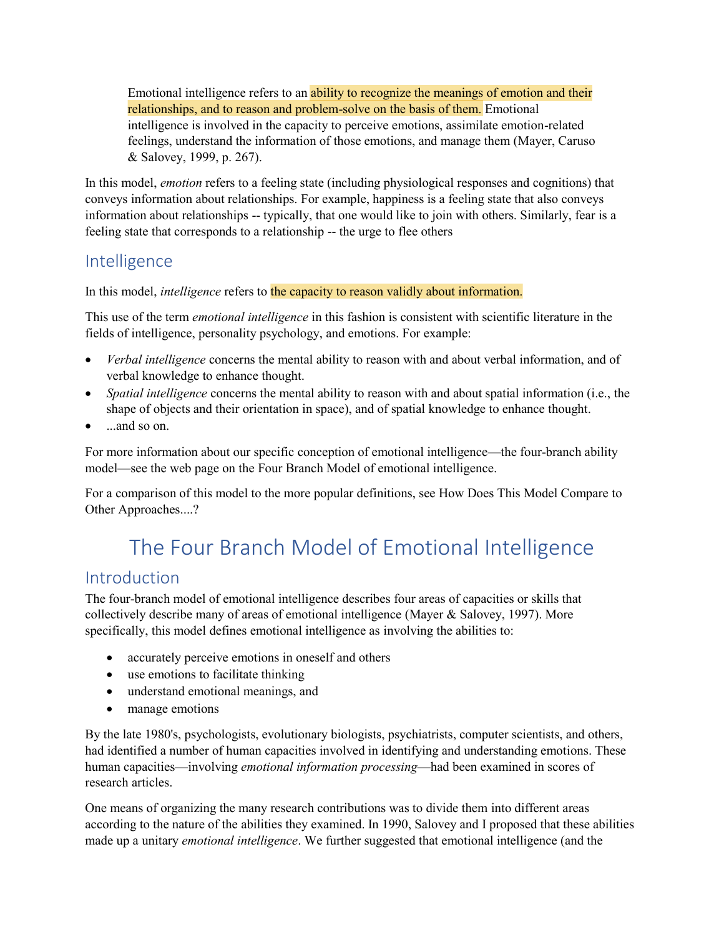Emotional intelligence refers to an ability to recognize the meanings of emotion and their relationships, and to reason and problem-solve on the basis of them. Emotional intelligence is involved in the capacity to perceive emotions, assimilate emotion-related feelings, understand the information of those emotions, and manage them (Mayer, Caruso & Salovey, 1999, p. 267).

In this model, *emotion* refers to a feeling state (including physiological responses and cognitions) that conveys information about relationships. For example, happiness is a feeling state that also conveys information about relationships -- typically, that one would like to join with others. Similarly, fear is a feeling state that corresponds to a relationship -- the urge to flee others

## <span id="page-4-0"></span>Intelligence

In this model, *intelligence* refers to the capacity to reason validly about information.

This use of the term *emotional intelligence* in this fashion is consistent with scientific literature in the fields of intelligence, personality psychology, and emotions. For example:

- *Verbal intelligence* concerns the mental ability to reason with and about verbal information, and of verbal knowledge to enhance thought.
- *Spatial intelligence* concerns the mental ability to reason with and about spatial information (i.e., the shape of objects and their orientation in space), and of spatial knowledge to enhance thought.
- and so on

For more information about our specific conception of emotional intelligence—the four-branch ability model—see the web page on the Four Branch Model of emotional intelligence.

For a comparison of this model to the more popular definitions, see How Does This Model Compare to Other Approaches....?

# The Four Branch Model of Emotional Intelligence

### <span id="page-4-2"></span><span id="page-4-1"></span>Introduction

The four-branch model of emotional intelligence describes four areas of capacities or skills that collectively describe many of areas of emotional intelligence (Mayer & Salovey, 1997). More specifically, this model defines emotional intelligence as involving the abilities to:

- accurately perceive emotions in oneself and others
- use emotions to facilitate thinking
- understand emotional meanings, and
- manage emotions

By the late 1980's, psychologists, evolutionary biologists, psychiatrists, computer scientists, and others, had identified a number of human capacities involved in identifying and understanding emotions. These human capacities—involving *emotional information processing*—had been examined in scores of research articles.

One means of organizing the many research contributions was to divide them into different areas according to the nature of the abilities they examined. In 1990, Salovey and I proposed that these abilities made up a unitary *emotional intelligence*. We further suggested that emotional intelligence (and the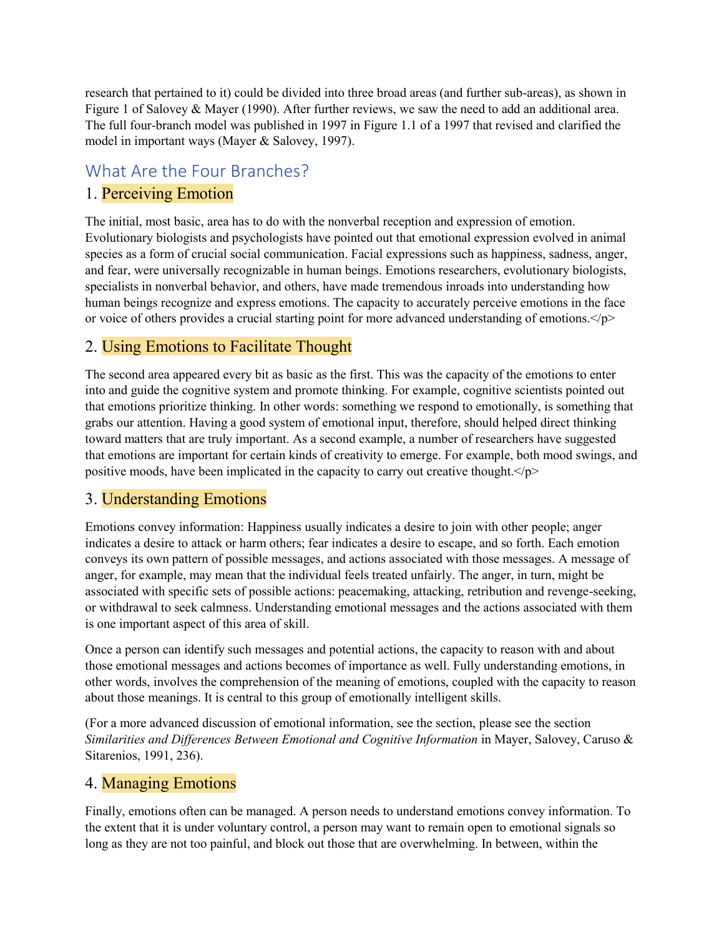research that pertained to it) could be divided into three broad areas (and further sub-areas), as shown in Figure 1 of Salovey & Mayer (1990). After further reviews, we saw the need to add an additional area. The full four-branch model was published in 1997 in Figure 1.1 of a 1997 that revised and clarified the model in important ways (Mayer & Salovey, 1997).

## <span id="page-5-0"></span>What Are the Four Branches?

#### <span id="page-5-1"></span>1. Perceiving Emotion

The initial, most basic, area has to do with the nonverbal reception and expression of emotion. Evolutionary biologists and psychologists have pointed out that emotional expression evolved in animal species as a form of crucial social communication. Facial expressions such as happiness, sadness, anger, and fear, were universally recognizable in human beings. Emotions researchers, evolutionary biologists, specialists in nonverbal behavior, and others, have made tremendous inroads into understanding how human beings recognize and express emotions. The capacity to accurately perceive emotions in the face or voice of others provides a crucial starting point for more advanced understanding of emotions. $\langle p \rangle$ 

### <span id="page-5-2"></span>2. Using Emotions to Facilitate Thought

The second area appeared every bit as basic as the first. This was the capacity of the emotions to enter into and guide the cognitive system and promote thinking. For example, cognitive scientists pointed out that emotions prioritize thinking. In other words: something we respond to emotionally, is something that grabs our attention. Having a good system of emotional input, therefore, should helped direct thinking toward matters that are truly important. As a second example, a number of researchers have suggested that emotions are important for certain kinds of creativity to emerge. For example, both mood swings, and positive moods, have been implicated in the capacity to carry out creative thought. $\langle p \rangle$ 

#### <span id="page-5-3"></span>3. Understanding Emotions

Emotions convey information: Happiness usually indicates a desire to join with other people; anger indicates a desire to attack or harm others; fear indicates a desire to escape, and so forth. Each emotion conveys its own pattern of possible messages, and actions associated with those messages. A message of anger, for example, may mean that the individual feels treated unfairly. The anger, in turn, might be associated with specific sets of possible actions: peacemaking, attacking, retribution and revenge-seeking, or withdrawal to seek calmness. Understanding emotional messages and the actions associated with them is one important aspect of this area of skill.

Once a person can identify such messages and potential actions, the capacity to reason with and about those emotional messages and actions becomes of importance as well. Fully understanding emotions, in other words, involves the comprehension of the meaning of emotions, coupled with the capacity to reason about those meanings. It is central to this group of emotionally intelligent skills.

(For a more advanced discussion of emotional information, see the section, please see the section *Similarities and Differences Between Emotional and Cognitive Information* in Mayer, Salovey, Caruso & Sitarenios, 1991, 236).

### <span id="page-5-4"></span>4. Managing Emotions

Finally, emotions often can be managed. A person needs to understand emotions convey information. To the extent that it is under voluntary control, a person may want to remain open to emotional signals so long as they are not too painful, and block out those that are overwhelming. In between, within the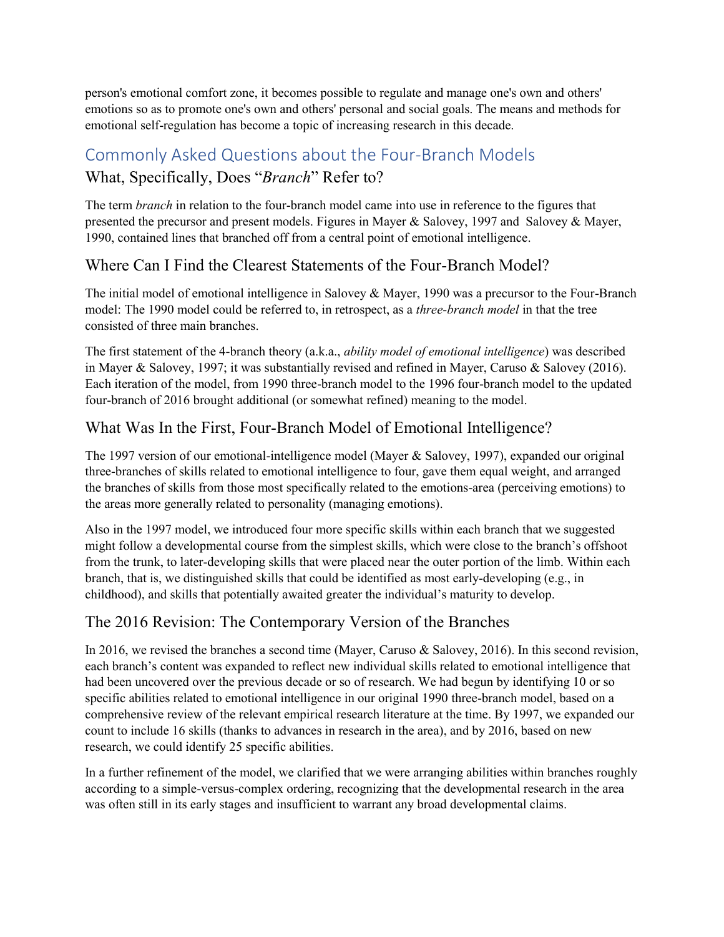person's emotional comfort zone, it becomes possible to regulate and manage one's own and others' emotions so as to promote one's own and others' personal and social goals. The means and methods for emotional self-regulation has become a topic of increasing research in this decade.

## <span id="page-6-1"></span><span id="page-6-0"></span>Commonly Asked Questions about the Four-Branch Models What, Specifically, Does "*Branch*" Refer to?

The term *branch* in relation to the four-branch model came into use in reference to the figures that presented the precursor and present models. Figures in Mayer & Salovey, 1997 and Salovey & Mayer, 1990, contained lines that branched off from a central point of emotional intelligence.

### <span id="page-6-2"></span>Where Can I Find the Clearest Statements of the Four-Branch Model?

The initial model of emotional intelligence in Salovey & Mayer, 1990 was a precursor to the Four-Branch model: The 1990 model could be referred to, in retrospect, as a *three-branch model* in that the tree consisted of three main branches.

The first statement of the 4-branch theory (a.k.a., *ability model of emotional intelligence*) was described in Mayer & Salovey, 1997; it was substantially revised and refined in Mayer, Caruso & Salovey (2016). Each iteration of the model, from 1990 three-branch model to the 1996 four-branch model to the updated four-branch of 2016 brought additional (or somewhat refined) meaning to the model.

### <span id="page-6-3"></span>What Was In the First, Four-Branch Model of Emotional Intelligence?

The 1997 version of our emotional-intelligence model (Mayer & Salovey, 1997), expanded our original three-branches of skills related to emotional intelligence to four, gave them equal weight, and arranged the branches of skills from those most specifically related to the emotions-area (perceiving emotions) to the areas more generally related to personality (managing emotions).

Also in the 1997 model, we introduced four more specific skills within each branch that we suggested might follow a developmental course from the simplest skills, which were close to the branch's offshoot from the trunk, to later-developing skills that were placed near the outer portion of the limb. Within each branch, that is, we distinguished skills that could be identified as most early-developing (e.g., in childhood), and skills that potentially awaited greater the individual's maturity to develop.

#### <span id="page-6-4"></span>The 2016 Revision: The Contemporary Version of the Branches

In 2016, we revised the branches a second time (Mayer, Caruso & Salovey, 2016). In this second revision, each branch's content was expanded to reflect new individual skills related to emotional intelligence that had been uncovered over the previous decade or so of research. We had begun by identifying 10 or so specific abilities related to emotional intelligence in our original 1990 three-branch model, based on a comprehensive review of the relevant empirical research literature at the time. By 1997, we expanded our count to include 16 skills (thanks to advances in research in the area), and by 2016, based on new research, we could identify 25 specific abilities.

In a further refinement of the model, we clarified that we were arranging abilities within branches roughly according to a simple-versus-complex ordering, recognizing that the developmental research in the area was often still in its early stages and insufficient to warrant any broad developmental claims.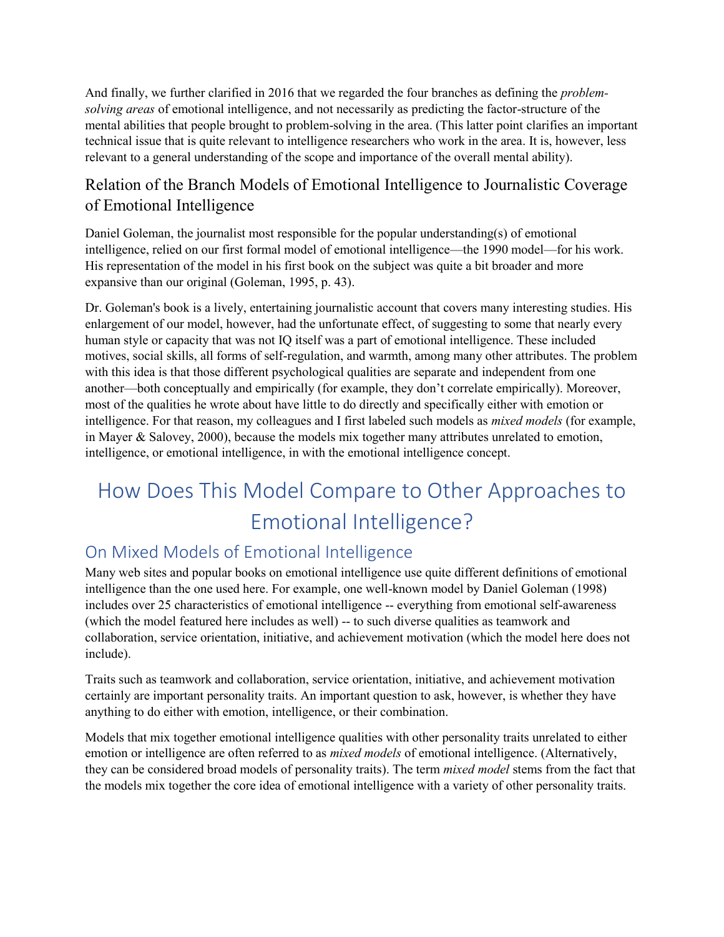And finally, we further clarified in 2016 that we regarded the four branches as defining the *problemsolving areas* of emotional intelligence, and not necessarily as predicting the factor-structure of the mental abilities that people brought to problem-solving in the area. (This latter point clarifies an important technical issue that is quite relevant to intelligence researchers who work in the area. It is, however, less relevant to a general understanding of the scope and importance of the overall mental ability).

## <span id="page-7-0"></span>Relation of the Branch Models of Emotional Intelligence to Journalistic Coverage of Emotional Intelligence

Daniel Goleman, the journalist most responsible for the popular understanding(s) of emotional intelligence, relied on our first formal model of emotional intelligence—the 1990 model—for his work. His representation of the model in his first book on the subject was quite a bit broader and more expansive than our original (Goleman, 1995, p. 43).

Dr. Goleman's book is a lively, entertaining journalistic account that covers many interesting studies. His enlargement of our model, however, had the unfortunate effect, of suggesting to some that nearly every human style or capacity that was not IQ itself was a part of emotional intelligence. These included motives, social skills, all forms of self-regulation, and warmth, among many other attributes. The problem with this idea is that those different psychological qualities are separate and independent from one another—both conceptually and empirically (for example, they don't correlate empirically). Moreover, most of the qualities he wrote about have little to do directly and specifically either with emotion or intelligence. For that reason, my colleagues and I first labeled such models as *mixed models* (for example, in Mayer & Salovey, 2000), because the models mix together many attributes unrelated to emotion, intelligence, or emotional intelligence, in with the emotional intelligence concept.

# <span id="page-7-1"></span>How Does This Model Compare to Other Approaches to Emotional Intelligence?

## <span id="page-7-2"></span>On Mixed Models of Emotional Intelligence

Many web sites and popular books on emotional intelligence use quite different definitions of emotional intelligence than the one used here. For example, one well-known model by Daniel Goleman (1998) includes over 25 characteristics of emotional intelligence -- everything from emotional self-awareness (which the model featured here includes as well) -- to such diverse qualities as teamwork and collaboration, service orientation, initiative, and achievement motivation (which the model here does not include).

Traits such as teamwork and collaboration, service orientation, initiative, and achievement motivation certainly are important personality traits. An important question to ask, however, is whether they have anything to do either with emotion, intelligence, or their combination.

Models that mix together emotional intelligence qualities with other personality traits unrelated to either emotion or intelligence are often referred to as *mixed models* of emotional intelligence. (Alternatively, they can be considered broad models of personality traits). The term *mixed model* stems from the fact that the models mix together the core idea of emotional intelligence with a variety of other personality traits.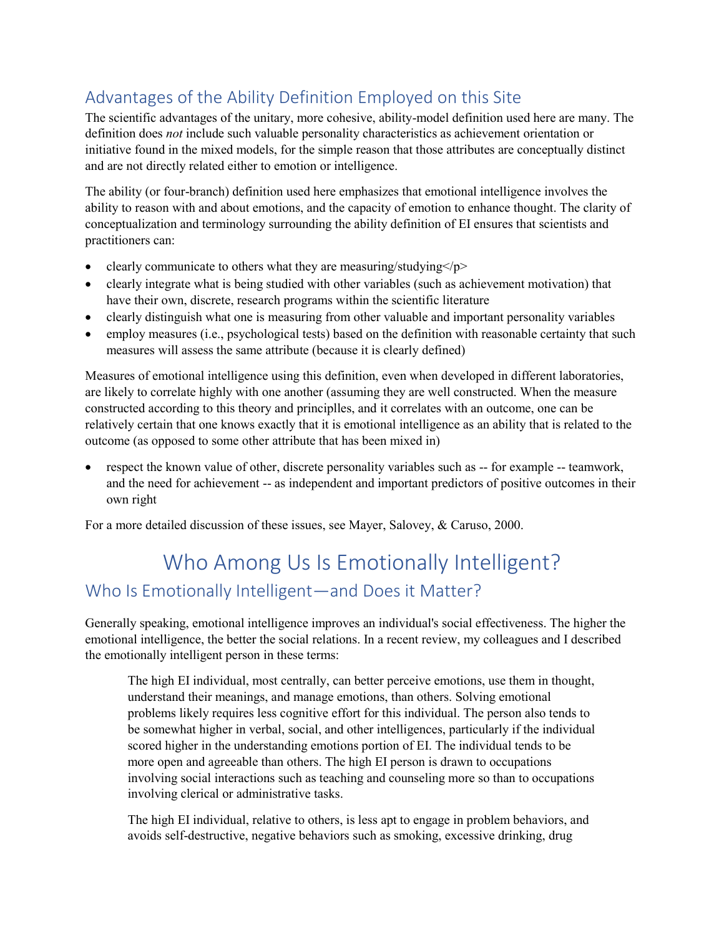## <span id="page-8-0"></span>Advantages of the Ability Definition Employed on this Site

The scientific advantages of the unitary, more cohesive, ability-model definition used here are many. The definition does *not* include such valuable personality characteristics as achievement orientation or initiative found in the mixed models, for the simple reason that those attributes are conceptually distinct and are not directly related either to emotion or intelligence.

The ability (or four-branch) definition used here emphasizes that emotional intelligence involves the ability to reason with and about emotions, and the capacity of emotion to enhance thought. The clarity of conceptualization and terminology surrounding the ability definition of EI ensures that scientists and practitioners can:

- clearly communicate to others what they are measuring/studying $\langle p \rangle$
- clearly integrate what is being studied with other variables (such as achievement motivation) that have their own, discrete, research programs within the scientific literature
- clearly distinguish what one is measuring from other valuable and important personality variables
- employ measures (i.e., psychological tests) based on the definition with reasonable certainty that such measures will assess the same attribute (because it is clearly defined)

Measures of emotional intelligence using this definition, even when developed in different laboratories, are likely to correlate highly with one another (assuming they are well constructed. When the measure constructed according to this theory and principlles, and it correlates with an outcome, one can be relatively certain that one knows exactly that it is emotional intelligence as an ability that is related to the outcome (as opposed to some other attribute that has been mixed in)

• respect the known value of other, discrete personality variables such as -- for example -- teamwork, and the need for achievement -- as independent and important predictors of positive outcomes in their own right

For a more detailed discussion of these issues, see Mayer, Salovey, & Caruso, 2000.

## <span id="page-8-2"></span><span id="page-8-1"></span>Who Among Us Is Emotionally Intelligent? Who Is Emotionally Intelligent—and Does it Matter?

Generally speaking, emotional intelligence improves an individual's social effectiveness. The higher the emotional intelligence, the better the social relations. In a recent review, my colleagues and I described the emotionally intelligent person in these terms:

The high EI individual, most centrally, can better perceive emotions, use them in thought, understand their meanings, and manage emotions, than others. Solving emotional problems likely requires less cognitive effort for this individual. The person also tends to be somewhat higher in verbal, social, and other intelligences, particularly if the individual scored higher in the understanding emotions portion of EI. The individual tends to be more open and agreeable than others. The high EI person is drawn to occupations involving social interactions such as teaching and counseling more so than to occupations involving clerical or administrative tasks.

The high EI individual, relative to others, is less apt to engage in problem behaviors, and avoids self-destructive, negative behaviors such as smoking, excessive drinking, drug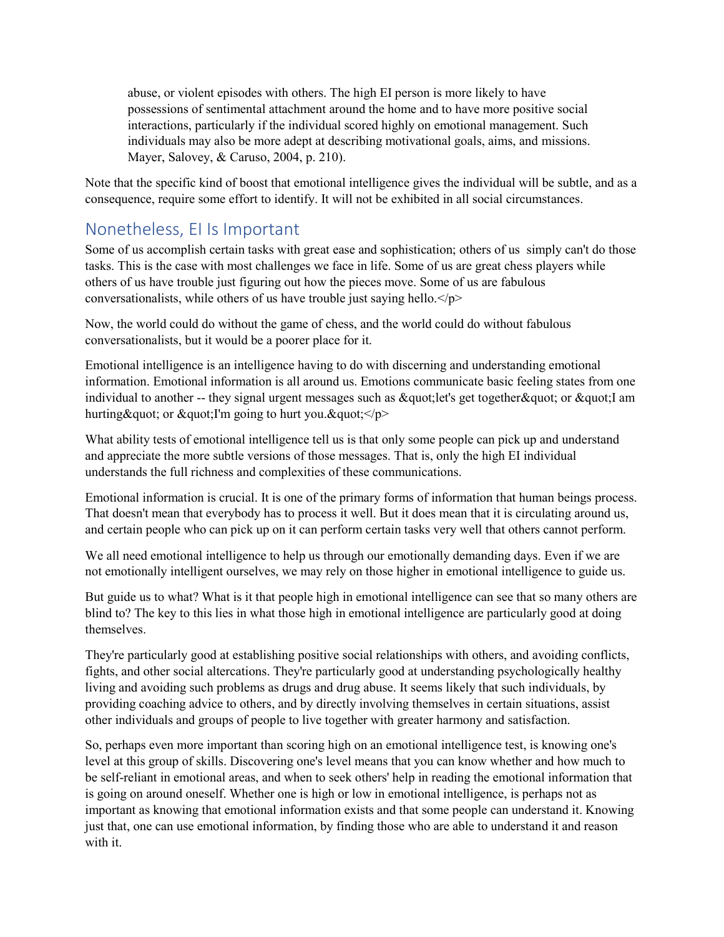abuse, or violent episodes with others. The high EI person is more likely to have possessions of sentimental attachment around the home and to have more positive social interactions, particularly if the individual scored highly on emotional management. Such individuals may also be more adept at describing motivational goals, aims, and missions. Mayer, Salovey, & Caruso, 2004, p. 210).

Note that the specific kind of boost that emotional intelligence gives the individual will be subtle, and as a consequence, require some effort to identify. It will not be exhibited in all social circumstances.

## <span id="page-9-0"></span>Nonetheless, EI Is Important

Some of us accomplish certain tasks with great ease and sophistication; others of us simply can't do those tasks. This is the case with most challenges we face in life. Some of us are great chess players while others of us have trouble just figuring out how the pieces move. Some of us are fabulous conversationalists, while others of us have trouble just saying hello. $\langle p \rangle$ 

Now, the world could do without the game of chess, and the world could do without fabulous conversationalists, but it would be a poorer place for it.

Emotional intelligence is an intelligence having to do with discerning and understanding emotional information. Emotional information is all around us. Emotions communicate basic feeling states from one individual to another -- they signal urgent messages such as  $\&$  quot; let's get together  $\&$  quot;  $\&$  quot;  $\&$  am hurting & quot; or & quot; I'm going to hurt you.  $\&$  quot;  $\&$  p>

What ability tests of emotional intelligence tell us is that only some people can pick up and understand and appreciate the more subtle versions of those messages. That is, only the high EI individual understands the full richness and complexities of these communications.

Emotional information is crucial. It is one of the primary forms of information that human beings process. That doesn't mean that everybody has to process it well. But it does mean that it is circulating around us, and certain people who can pick up on it can perform certain tasks very well that others cannot perform.

We all need emotional intelligence to help us through our emotionally demanding days. Even if we are not emotionally intelligent ourselves, we may rely on those higher in emotional intelligence to guide us.

But guide us to what? What is it that people high in emotional intelligence can see that so many others are blind to? The key to this lies in what those high in emotional intelligence are particularly good at doing themselves.

They're particularly good at establishing positive social relationships with others, and avoiding conflicts, fights, and other social altercations. They're particularly good at understanding psychologically healthy living and avoiding such problems as drugs and drug abuse. It seems likely that such individuals, by providing coaching advice to others, and by directly involving themselves in certain situations, assist other individuals and groups of people to live together with greater harmony and satisfaction.

So, perhaps even more important than scoring high on an emotional intelligence test, is knowing one's level at this group of skills. Discovering one's level means that you can know whether and how much to be self-reliant in emotional areas, and when to seek others' help in reading the emotional information that is going on around oneself. Whether one is high or low in emotional intelligence, is perhaps not as important as knowing that emotional information exists and that some people can understand it. Knowing just that, one can use emotional information, by finding those who are able to understand it and reason with it.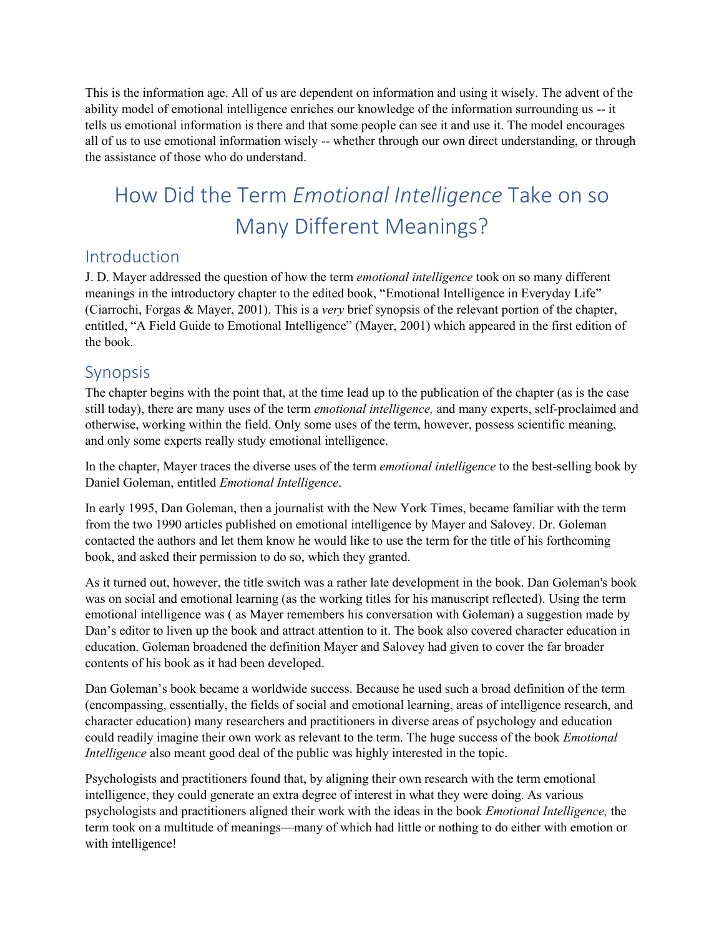This is the information age. All of us are dependent on information and using it wisely. The advent of the ability model of emotional intelligence enriches our knowledge of the information surrounding us -- it tells us emotional information is there and that some people can see it and use it. The model encourages all of us to use emotional information wisely -- whether through our own direct understanding, or through the assistance of those who do understand.

# <span id="page-10-0"></span>How Did the Term *Emotional Intelligence* Take on so Many Different Meanings?

### <span id="page-10-1"></span>Introduction

J. D. Mayer addressed the question of how the term *emotional intelligence* took on so many different meanings in the introductory chapter to the edited book, "Emotional Intelligence in Everyday Life" (Ciarrochi, Forgas & Mayer, 2001). This is a *very* brief synopsis of the relevant portion of the chapter, entitled, "A Field Guide to Emotional Intelligence" (Mayer, 2001) which appeared in the first edition of the book.

### <span id="page-10-2"></span>**Synopsis**

The chapter begins with the point that, at the time lead up to the publication of the chapter (as is the case still today), there are many uses of the term *emotional intelligence,* and many experts, self-proclaimed and otherwise, working within the field. Only some uses of the term, however, possess scientific meaning, and only some experts really study emotional intelligence.

In the chapter, Mayer traces the diverse uses of the term *emotional intelligence* to the best-selling book by Daniel Goleman, entitled *Emotional Intelligence*.

In early 1995, Dan Goleman, then a journalist with the New York Times, became familiar with the term from the two 1990 articles published on emotional intelligence by Mayer and Salovey. Dr. Goleman contacted the authors and let them know he would like to use the term for the title of his forthcoming book, and asked their permission to do so, which they granted.

As it turned out, however, the title switch was a rather late development in the book. Dan Goleman's book was on social and emotional learning (as the working titles for his manuscript reflected). Using the term emotional intelligence was ( as Mayer remembers his conversation with Goleman) a suggestion made by Dan's editor to liven up the book and attract attention to it. The book also covered character education in education. Goleman broadened the definition Mayer and Salovey had given to cover the far broader contents of his book as it had been developed.

Dan Goleman's book became a worldwide success. Because he used such a broad definition of the term (encompassing, essentially, the fields of social and emotional learning, areas of intelligence research, and character education) many researchers and practitioners in diverse areas of psychology and education could readily imagine their own work as relevant to the term. The huge success of the book *Emotional Intelligence* also meant good deal of the public was highly interested in the topic.

Psychologists and practitioners found that, by aligning their own research with the term emotional intelligence, they could generate an extra degree of interest in what they were doing. As various psychologists and practitioners aligned their work with the ideas in the book *Emotional Intelligence,* the term took on a multitude of meanings—many of which had little or nothing to do either with emotion or with intelligence!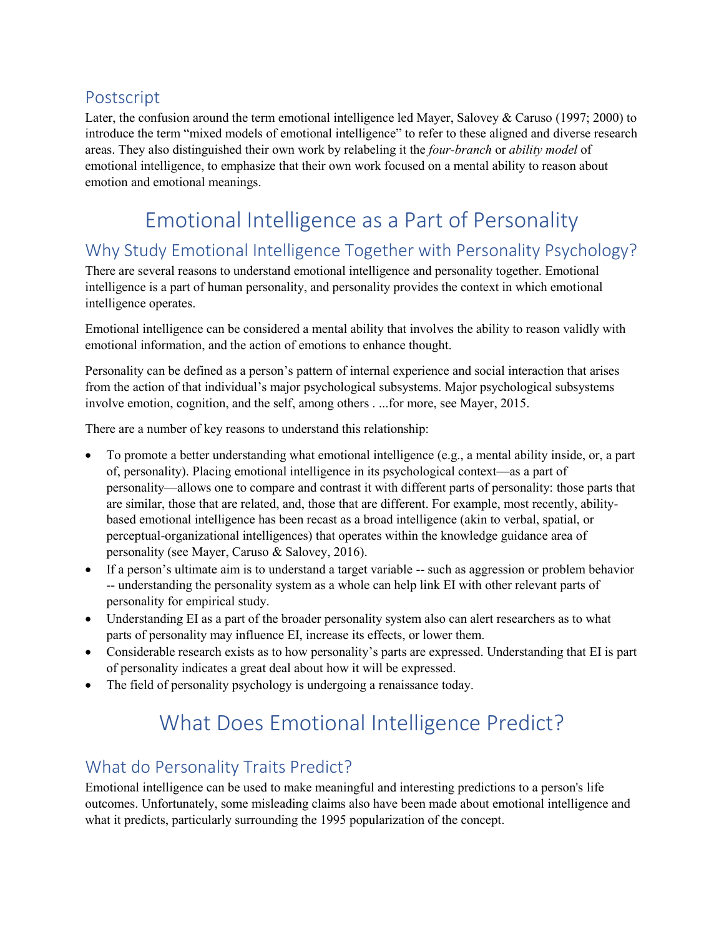## <span id="page-11-0"></span>Postscript

Later, the confusion around the term emotional intelligence led Mayer, Salovey & Caruso (1997; 2000) to introduce the term "mixed models of emotional intelligence" to refer to these aligned and diverse research areas. They also distinguished their own work by relabeling it the *four-branch* or *ability model* of emotional intelligence, to emphasize that their own work focused on a mental ability to reason about emotion and emotional meanings.

## Emotional Intelligence as a Part of Personality

## <span id="page-11-2"></span><span id="page-11-1"></span>Why Study Emotional Intelligence Together with Personality Psychology?

There are several reasons to understand emotional intelligence and personality together. Emotional intelligence is a part of human personality, and personality provides the context in which emotional intelligence operates.

Emotional intelligence can be considered a mental ability that involves the ability to reason validly with emotional information, and the action of emotions to enhance thought.

Personality can be defined as a person's pattern of internal experience and social interaction that arises from the action of that individual's major psychological subsystems. Major psychological subsystems involve emotion, cognition, and the self, among others . ...for more, see Mayer, 2015.

There are a number of key reasons to understand this relationship:

- To promote a better understanding what emotional intelligence (e.g., a mental ability inside, or, a part of, personality). Placing emotional intelligence in its psychological context—as a part of personality—allows one to compare and contrast it with different parts of personality: those parts that are similar, those that are related, and, those that are different. For example, most recently, abilitybased emotional intelligence has been recast as a broad intelligence (akin to verbal, spatial, or perceptual-organizational intelligences) that operates within the knowledge guidance area of personality (see Mayer, Caruso & Salovey, 2016).
- If a person's ultimate aim is to understand a target variable -- such as aggression or problem behavior -- understanding the personality system as a whole can help link EI with other relevant parts of personality for empirical study.
- Understanding EI as a part of the broader personality system also can alert researchers as to what parts of personality may influence EI, increase its effects, or lower them.
- Considerable research exists as to how personality's parts are expressed. Understanding that EI is part of personality indicates a great deal about how it will be expressed.
- <span id="page-11-3"></span>• The field of personality psychology is undergoing a renaissance today.

## What Does Emotional Intelligence Predict?

## <span id="page-11-4"></span>What do Personality Traits Predict?

Emotional intelligence can be used to make meaningful and interesting predictions to a person's life outcomes. Unfortunately, some misleading claims also have been made about emotional intelligence and what it predicts, particularly surrounding the 1995 popularization of the concept.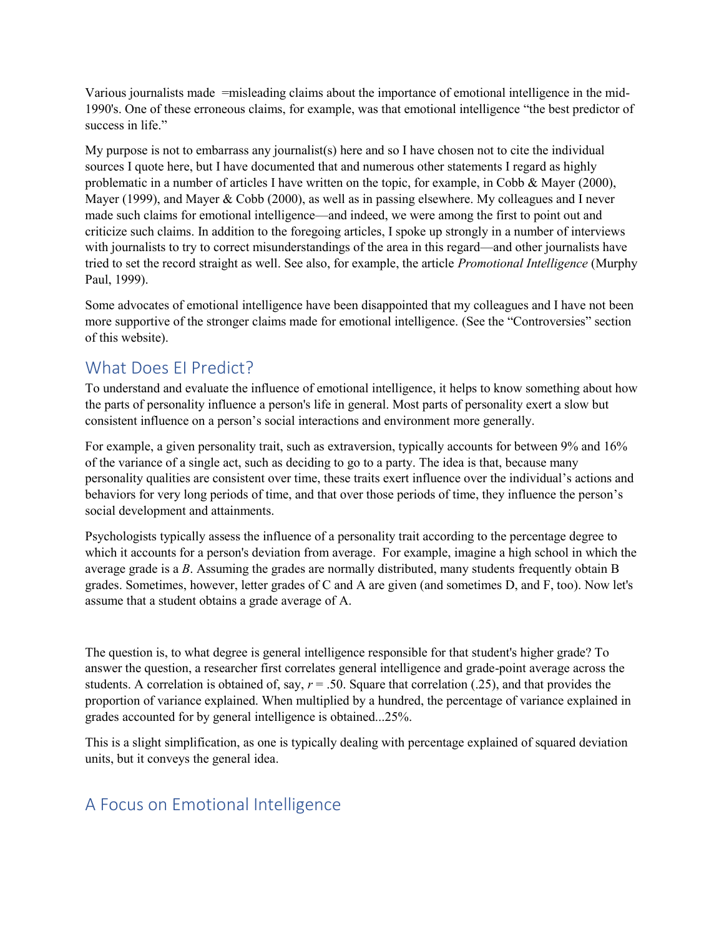Various journalists made =misleading claims about the importance of emotional intelligence in the mid-1990's. One of these erroneous claims, for example, was that emotional intelligence "the best predictor of success in life."

My purpose is not to embarrass any journalist(s) here and so I have chosen not to cite the individual sources I quote here, but I have documented that and numerous other statements I regard as highly problematic in a number of articles I have written on the topic, for example, in Cobb & Mayer (2000), Mayer (1999), and Mayer & Cobb (2000), as well as in passing elsewhere. My colleagues and I never made such claims for emotional intelligence—and indeed, we were among the first to point out and criticize such claims. In addition to the foregoing articles, I spoke up strongly in a number of interviews with journalists to try to correct misunderstandings of the area in this regard—and other journalists have tried to set the record straight as well. See also, for example, the article *Promotional Intelligence* (Murphy Paul, 1999).

Some advocates of emotional intelligence have been disappointed that my colleagues and I have not been more supportive of the stronger claims made for emotional intelligence. (See the "Controversies" section of this website).

## <span id="page-12-0"></span>What Does EI Predict?

To understand and evaluate the influence of emotional intelligence, it helps to know something about how the parts of personality influence a person's life in general. Most parts of personality exert a slow but consistent influence on a person's social interactions and environment more generally.

For example, a given personality trait, such as extraversion, typically accounts for between 9% and 16% of the variance of a single act, such as deciding to go to a party. The idea is that, because many personality qualities are consistent over time, these traits exert influence over the individual's actions and behaviors for very long periods of time, and that over those periods of time, they influence the person's social development and attainments.

Psychologists typically assess the influence of a personality trait according to the percentage degree to which it accounts for a person's deviation from average. For example, imagine a high school in which the average grade is a *B*. Assuming the grades are normally distributed, many students frequently obtain B grades. Sometimes, however, letter grades of C and A are given (and sometimes D, and F, too). Now let's assume that a student obtains a grade average of A.

The question is, to what degree is general intelligence responsible for that student's higher grade? To answer the question, a researcher first correlates general intelligence and grade-point average across the students. A correlation is obtained of, say,  $r = .50$ . Square that correlation (.25), and that provides the proportion of variance explained. When multiplied by a hundred, the percentage of variance explained in grades accounted for by general intelligence is obtained...25%.

This is a slight simplification, as one is typically dealing with percentage explained of squared deviation units, but it conveys the general idea.

## <span id="page-12-1"></span>A Focus on Emotional Intelligence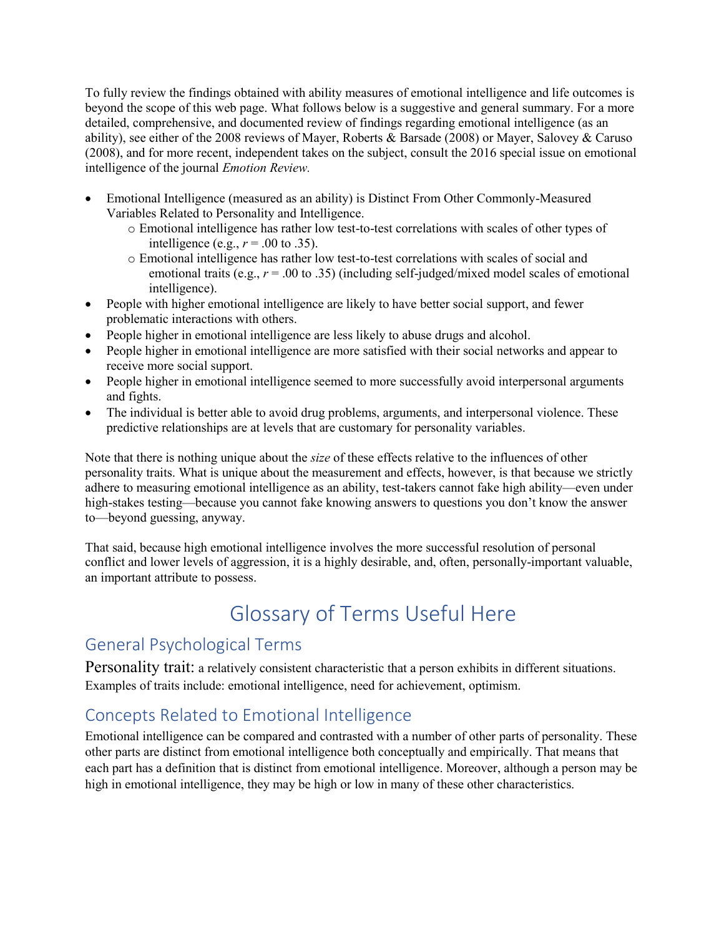To fully review the findings obtained with ability measures of emotional intelligence and life outcomes is beyond the scope of this web page. What follows below is a suggestive and general summary. For a more detailed, comprehensive, and documented review of findings regarding emotional intelligence (as an ability), see either of the 2008 reviews of Mayer, Roberts & Barsade (2008) or Mayer, Salovey & Caruso (2008), and for more recent, independent takes on the subject, consult the 2016 special issue on emotional intelligence of the journal *Emotion Review.* 

- Emotional Intelligence (measured as an ability) is Distinct From Other Commonly-Measured Variables Related to Personality and Intelligence.
	- o Emotional intelligence has rather low test-to-test correlations with scales of other types of intelligence (e.g.,  $r = .00$  to .35).
	- o Emotional intelligence has rather low test-to-test correlations with scales of social and emotional traits (e.g., *r* = .00 to .35) (including self-judged/mixed model scales of emotional intelligence).
- People with higher emotional intelligence are likely to have better social support, and fewer problematic interactions with others.
- People higher in emotional intelligence are less likely to abuse drugs and alcohol.
- People higher in emotional intelligence are more satisfied with their social networks and appear to receive more social support.
- People higher in emotional intelligence seemed to more successfully avoid interpersonal arguments and fights.
- The individual is better able to avoid drug problems, arguments, and interpersonal violence. These predictive relationships are at levels that are customary for personality variables.

Note that there is nothing unique about the *size* of these effects relative to the influences of other personality traits. What is unique about the measurement and effects, however, is that because we strictly adhere to measuring emotional intelligence as an ability, test-takers cannot fake high ability—even under high-stakes testing—because you cannot fake knowing answers to questions you don't know the answer to—beyond guessing, anyway.

That said, because high emotional intelligence involves the more successful resolution of personal conflict and lower levels of aggression, it is a highly desirable, and, often, personally-important valuable, an important attribute to possess.

## <span id="page-13-0"></span>Glossary of Terms Useful Here

## <span id="page-13-1"></span>General Psychological Terms

<span id="page-13-2"></span>Personality trait: a relatively consistent characteristic that a person exhibits in different situations. Examples of traits include: emotional intelligence, need for achievement, optimism.

## <span id="page-13-3"></span>Concepts Related to Emotional Intelligence

Emotional intelligence can be compared and contrasted with a number of other parts of personality. These other parts are distinct from emotional intelligence both conceptually and empirically. That means that each part has a definition that is distinct from emotional intelligence. Moreover, although a person may be high in emotional intelligence, they may be high or low in many of these other characteristics.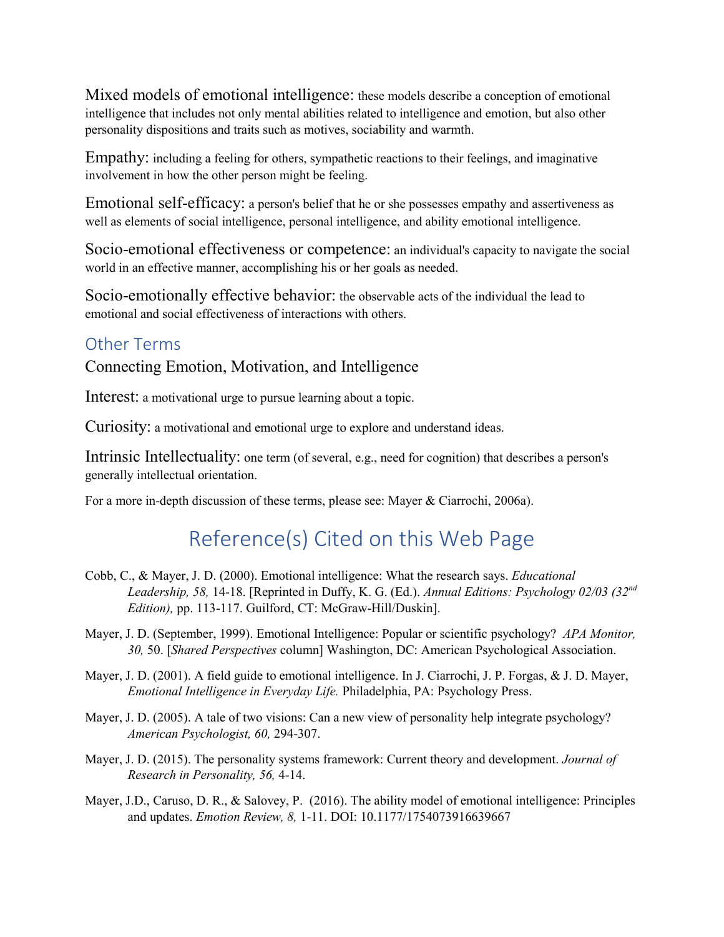<span id="page-14-0"></span>Mixed models of emotional intelligence: these models describe a conception of emotional intelligence that includes not only mental abilities related to intelligence and emotion, but also other personality dispositions and traits such as motives, sociability and warmth.

<span id="page-14-1"></span>Empathy: including a feeling for others, sympathetic reactions to their feelings, and imaginative involvement in how the other person might be feeling.

<span id="page-14-2"></span>Emotional self-efficacy: a person's belief that he or she possesses empathy and assertiveness as well as elements of social intelligence, personal intelligence, and ability emotional intelligence.

<span id="page-14-3"></span>Socio-emotional effectiveness or competence: an individual's capacity to navigate the social world in an effective manner, accomplishing his or her goals as needed.

<span id="page-14-4"></span>Socio-emotionally effective behavior: the observable acts of the individual the lead to emotional and social effectiveness of interactions with others.

### <span id="page-14-5"></span>Other Terms

<span id="page-14-6"></span>Connecting Emotion, Motivation, and Intelligence

<span id="page-14-7"></span>Interest: a motivational urge to pursue learning about a topic.

<span id="page-14-8"></span>Curiosity: a motivational and emotional urge to explore and understand ideas.

<span id="page-14-9"></span>Intrinsic Intellectuality: one term (of several, e.g., need for cognition) that describes a person's generally intellectual orientation.

<span id="page-14-10"></span>For a more in-depth discussion of these terms, please see: Mayer & Ciarrochi, 2006a).

## Reference(s) Cited on this Web Page

- Cobb, C., & Mayer, J. D. (2000). Emotional intelligence: What the research says. *Educational Leadership, 58,* 14-18. [Reprinted in Duffy, K. G. (Ed.). *Annual Editions: Psychology 02/03 (32nd Edition),* pp. 113-117. Guilford, CT: McGraw-Hill/Duskin].
- Mayer, J. D. (September, 1999). Emotional Intelligence: Popular or scientific psychology? *APA Monitor, 30,* 50. [*Shared Perspectives* column] Washington, DC: American Psychological Association.
- Mayer, J. D. (2001). A field guide to emotional intelligence. In J. Ciarrochi, J. P. Forgas, & J. D. Mayer, *Emotional Intelligence in Everyday Life.* Philadelphia, PA: Psychology Press.
- Mayer, J. D. (2005). A tale of two visions: Can a new view of personality help integrate psychology? *American Psychologist, 60,* 294-307.
- Mayer, J. D. (2015). The personality systems framework: Current theory and development. *Journal of Research in Personality, 56,* 4-14.
- Mayer, J.D., Caruso, D. R., & Salovey, P. (2016). The ability model of emotional intelligence: Principles and updates. *Emotion Review, 8,* 1-11. DOI: 10.1177/1754073916639667